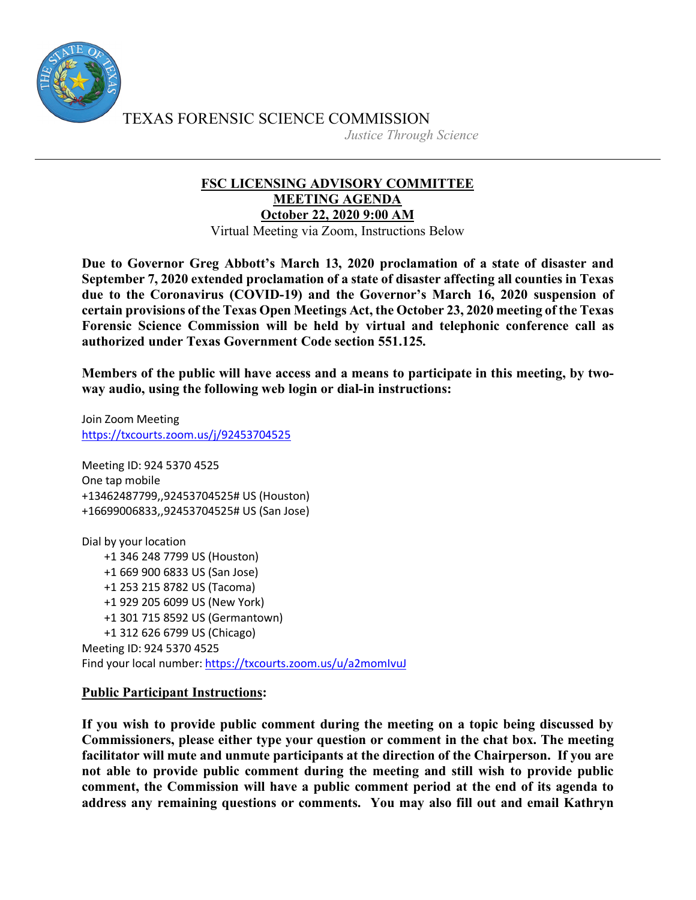

TEXAS FORENSIC SCIENCE COMMISSION

*Justice Through Science*

## **FSC LICENSING ADVISORY COMMITTEE MEETING AGENDA October 22, 2020 9:00 AM**

Virtual Meeting via Zoom, Instructions Below

**Due to Governor Greg Abbott's March 13, 2020 proclamation of a state of disaster and September 7, 2020 extended proclamation of a state of disaster affecting all counties in Texas due to the Coronavirus (COVID-19) and the Governor's March 16, 2020 suspension of certain provisions of the Texas Open Meetings Act, the October 23, 2020 meeting of the Texas Forensic Science Commission will be held by virtual and telephonic conference call as authorized under Texas Government Code section 551.125.**

**Members of the public will have access and a means to participate in this meeting, by twoway audio, using the following web login or dial-in instructions:**

Join Zoom Meeting https://txcourts.zoom.us/j/92453704525

Meeting ID: 924 5370 4525 One tap mobile +13462487799,,92453704525# US (Houston) +16699006833,,92453704525# US (San Jose)

Dial by your location +1 346 248 7799 US (Houston) +1 669 900 6833 US (San Jose) +1 253 215 8782 US (Tacoma) +1 929 205 6099 US (New York) +1 301 715 8592 US (Germantown) +1 312 626 6799 US (Chicago) Meeting ID: 924 5370 4525 Find your local number: https://txcourts.zoom.us/u/a2momIvuJ

## **Public Participant Instructions:**

**If you wish to provide public comment during the meeting on a topic being discussed by Commissioners, please either type your question or comment in the chat box. The meeting facilitator will mute and unmute participants at the direction of the Chairperson. If you are not able to provide public comment during the meeting and still wish to provide public comment, the Commission will have a public comment period at the end of its agenda to address any remaining questions or comments. You may also fill out and email Kathryn**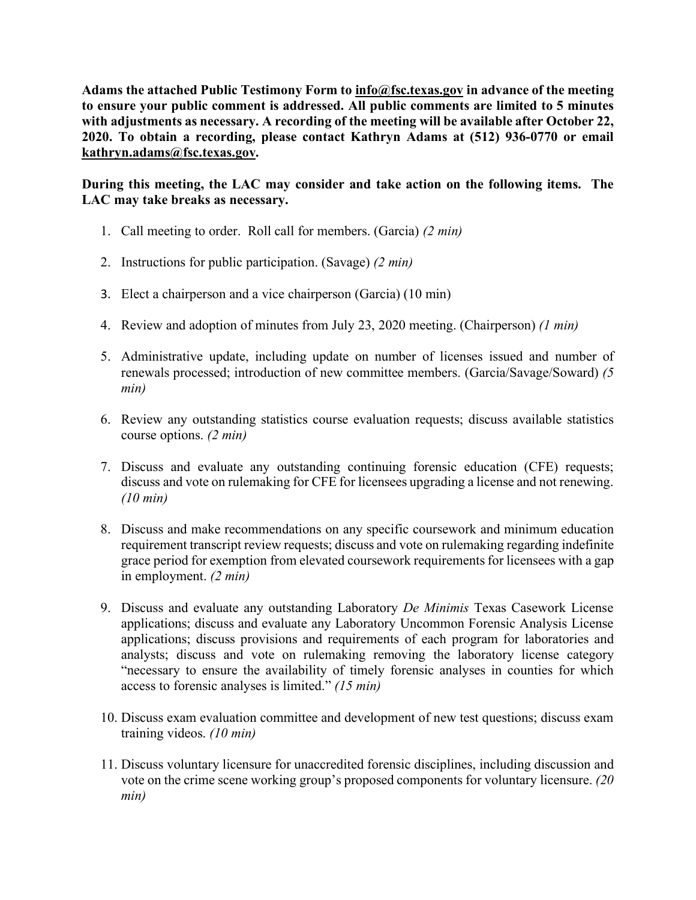**Adams the attached Public Testimony Form to info@fsc.texas.gov in advance of the meeting to ensure your public comment is addressed. All public comments are limited to 5 minutes with adjustments as necessary. A recording of the meeting will be available after October 22, 2020. To obtain a recording, please contact Kathryn Adams at (512) 936-0770 or email kathryn.adams@fsc.texas.gov.**

**During this meeting, the LAC may consider and take action on the following items. The LAC may take breaks as necessary.**

- 1. Call meeting to order. Roll call for members. (Garcia) *(2 min)*
- 2. Instructions for public participation. (Savage) *(2 min)*
- 3. Elect a chairperson and a vice chairperson (Garcia) (10 min)
- 4. Review and adoption of minutes from July 23, 2020 meeting. (Chairperson) *(1 min)*
- 5. Administrative update, including update on number of licenses issued and number of renewals processed; introduction of new committee members. (Garcia/Savage/Soward) *(5 min)*
- 6. Review any outstanding statistics course evaluation requests; discuss available statistics course options. *(2 min)*
- 7. Discuss and evaluate any outstanding continuing forensic education (CFE) requests; discuss and vote on rulemaking for CFE for licensees upgrading a license and not renewing. *(10 min)*
- 8. Discuss and make recommendations on any specific coursework and minimum education requirement transcript review requests; discuss and vote on rulemaking regarding indefinite grace period for exemption from elevated coursework requirements for licensees with a gap in employment. *(2 min)*
- 9. Discuss and evaluate any outstanding Laboratory *De Minimis* Texas Casework License applications; discuss and evaluate any Laboratory Uncommon Forensic Analysis License applications; discuss provisions and requirements of each program for laboratories and analysts; discuss and vote on rulemaking removing the laboratory license category "necessary to ensure the availability of timely forensic analyses in counties for which access to forensic analyses is limited." *(15 min)*
- 10. Discuss exam evaluation committee and development of new test questions; discuss exam training videos. *(10 min)*
- 11. Discuss voluntary licensure for unaccredited forensic disciplines, including discussion and vote on the crime scene working group's proposed components for voluntary licensure. *(20 min)*